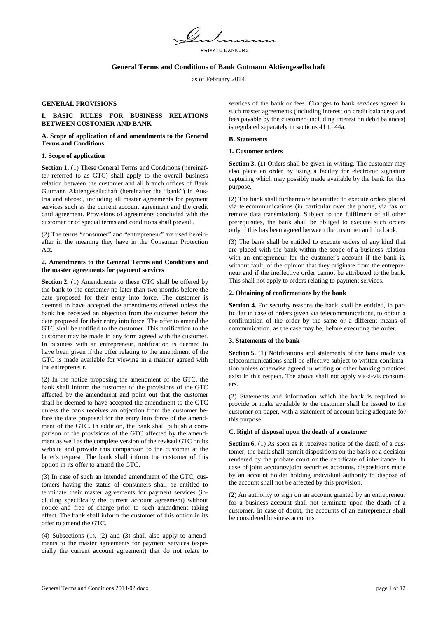

## **General Terms and Conditions of Bank Gutmann Aktiengesellschaft**

as of February 2014

#### **GENERAL PROVISIONS**

# **I. BASIC RULES FOR BUSINESS RELATIONS BETWEEN CUSTOMER AND BANK**

### **A. Scope of application of and amendments to the General Terms and Conditions**

### **1. Scope of application**

Section 1. (1) These General Terms and Conditions (hereinafter referred to as GTC) shall apply to the overall business relation between the customer and all branch offices of Bank Gutmann Aktiengesellschaft (hereinafter the "bank") in Austria and abroad, including all master agreements for payment services such as the current account agreement and the credit card agreement. Provisions of agreements concluded with the customer or of special terms and conditions shall prevail..

(2) The terms "consumer" and "entrepreneur" are used hereinafter in the meaning they have in the Consumer Protection Act.

### **2. Amendments to the General Terms and Conditions and the master agreements for payment services**

**Section 2.** (1) Amendments to these GTC shall be offered by the bank to the customer no later than two months before the date proposed for their entry into force. The customer is deemed to have accepted the amendments offered unless the bank has received an objection from the customer before the date proposed for their entry into force. The offer to amend the GTC shall be notified to the customer. This notification to the customer may be made in any form agreed with the customer. In business with an entrepreneur, notification is deemed to have been given if the offer relating to the amendment of the GTC is made available for viewing in a manner agreed with the entrepreneur.

(2) In the notice proposing the amendment of the GTC, the bank shall inform the customer of the provisions of the GTC affected by the amendment and point out that the customer shall be deemed to have accepted the amendment to the GTC unless the bank receives an objection from the customer before the date proposed for the entry into force of the amendment of the GTC. In addition, the bank shall publish a comparison of the provisions of the GTC affected by the amendment as well as the complete version of the revised GTC on its website and provide this comparison to the customer at the latter's request. The bank shall inform the customer of this option in its offer to amend the GTC.

(3) In case of such an intended amendment of the GTC, customers having the status of consumers shall be entitled to terminate their master agreements for payment services (including specifically the current account agreement) without notice and free of charge prior to such amendment taking effect. The bank shall inform the customer of this option in its offer to amend the GTC.

(4) Subsections (1), (2) and (3) shall also apply to amendments to the master agreements for payment services (especially the current account agreement) that do not relate to services of the bank or fees. Changes to bank services agreed in such master agreements (including interest on credit balances) and fees payable by the customer (including interest on debit balances) is regulated separately in sections 41 to 44a.

#### **B. Statements**

### **1. Customer orders**

**Section 3. (1)** Orders shall be given in writing. The customer may also place an order by using a facility for electronic signature capturing which may possibly made available by the bank for this purpose.

(2) The bank shall furthermore be entitled to execute orders placed via telecommunications (in particular over the phone, via fax or remote data transmission). Subject to the fulfilment of all other prerequisites, the bank shall be obliged to execute such orders only if this has been agreed between the customer and the bank.

(3) The bank shall be entitled to execute orders of any kind that are placed with the bank within the scope of a business relation with an entrepreneur for the customer's account if the bank is, without fault, of the opinion that they originate from the entrepreneur and if the ineffective order cannot be attributed to the bank. This shall not apply to orders relating to payment services.

### **2. Obtaining of confirmations by the bank**

**Section 4.** For security reasons the bank shall be entitled, in particular in case of orders given via telecommunications, to obtain a confirmation of the order by the same or a different means of communication, as the case may be, before executing the order.

### **3. Statements of the bank**

**Section 5.** (1) Notifications and statements of the bank made via telecommunications shall be effective subject to written confirmation unless otherwise agreed in writing or other banking practices exist in this respect. The above shall not apply vis-à-vis consumers.

(2) Statements and information which the bank is required to provide or make available to the customer shall be issued to the customer on paper, with a statement of account being adequate for this purpose.

### **C. Right of disposal upon the death of a customer**

**Section 6.** (1) As soon as it receives notice of the death of a customer, the bank shall permit dispositions on the basis of a decision rendered by the probate court or the certificate of inheritance. In case of joint accounts/joint securities accounts, dispositions made by an account holder holding individual authority to dispose of the account shall not be affected by this provision.

(2) An authority to sign on an account granted by an entrepreneur for a business account shall not terminate upon the death of a customer. In case of doubt, the accounts of an entrepreneur shall be considered business accounts.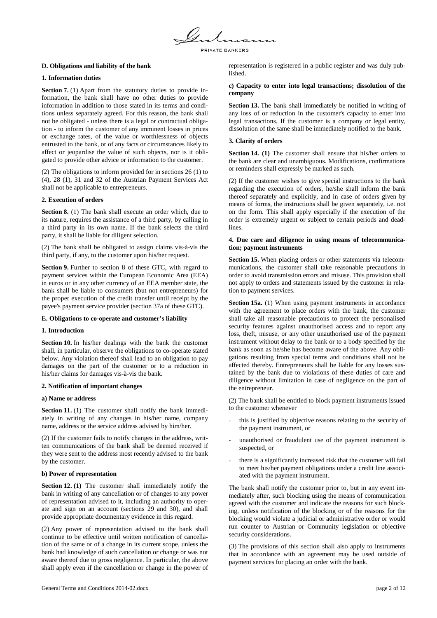

## **D. Obligations and liability of the bank**

### **1. Information duties**

**Section 7.** (1) Apart from the statutory duties to provide information, the bank shall have no other duties to provide information in addition to those stated in its terms and conditions unless separately agreed. For this reason, the bank shall not be obligated - unless there is a legal or contractual obligation - to inform the customer of any imminent losses in prices or exchange rates, of the value or worthlessness of objects entrusted to the bank, or of any facts or circumstances likely to affect or jeopardise the value of such objects, nor is it obligated to provide other advice or information to the customer.

(2) The obligations to inform provided for in sections 26 (1) to (4), 28 (1), 31 and 32 of the Austrian Payment Services Act shall not be applicable to entrepreneurs.

### **2. Execution of orders**

**Section 8.** (1) The bank shall execute an order which, due to its nature, requires the assistance of a third party, by calling in a third party in its own name. If the bank selects the third party, it shall be liable for diligent selection.

(2) The bank shall be obligated to assign claims vis-à-vis the third party, if any, to the customer upon his/her request.

**Section 9.** Further to section 8 of these GTC, with regard to payment services within the European Economic Area (EEA) in euros or in any other currency of an EEA member state, the bank shall be liable to consumers (but not entrepreneurs) for the proper execution of the credit transfer until receipt by the payee's payment service provider (section 37a of these GTC).

### **E. Obligations to co-operate and customer's liability**

### **1. Introduction**

**Section 10.** In his/her dealings with the bank the customer shall, in particular, observe the obligations to co-operate stated below. Any violation thereof shall lead to an obligation to pay damages on the part of the customer or to a reduction in his/her claims for damages vis-à-vis the bank.

#### **2. Notification of important changes**

#### **a) Name or address**

**Section 11.** (1) The customer shall notify the bank immediately in writing of any changes in his/her name, company name, address or the service address advised by him/her.

(2) If the customer fails to notify changes in the address, written communications of the bank shall be deemed received if they were sent to the address most recently advised to the bank by the customer.

### **b) Power of representation**

**Section 12. (1)** The customer shall immediately notify the bank in writing of any cancellation or of changes to any power of representation advised to it, including an authority to operate and sign on an account (sections 29 and 30), and shall provide appropriate documentary evidence in this regard.

(2) Any power of representation advised to the bank shall continue to be effective until written notification of cancellation of the same or of a change in its current scope, unless the bank had knowledge of such cancellation or change or was not aware thereof due to gross negligence. In particular, the above shall apply even if the cancellation or change in the power of representation is registered in a public register and was duly published.

### **c) Capacity to enter into legal transactions; dissolution of the company**

**Section 13.** The bank shall immediately be notified in writing of any loss of or reduction in the customer's capacity to enter into legal transactions. If the customer is a company or legal entity, dissolution of the same shall be immediately notified to the bank.

### **3. Clarity of orders**

**Section 14.** (1) The customer shall ensure that his/her orders to the bank are clear and unambiguous. Modifications, confirmations or reminders shall expressly be marked as such.

(2) If the customer wishes to give special instructions to the bank regarding the execution of orders, he/she shall inform the bank thereof separately and explicitly, and in case of orders given by means of forms, the instructions shall be given separately, i.e. not on the form. This shall apply especially if the execution of the order is extremely urgent or subject to certain periods and deadlines.

### **4. Due care and diligence in using means of telecommunication; payment instruments**

**Section 15.** When placing orders or other statements via telecommunications, the customer shall take reasonable precautions in order to avoid transmission errors and misuse. This provision shall not apply to orders and statements issued by the customer in relation to payment services.

**Section 15a.** (1) When using payment instruments in accordance with the agreement to place orders with the bank, the customer shall take all reasonable precautions to protect the personalised security features against unauthorised access and to report any loss, theft, misuse, or any other unauthorised use of the payment instrument without delay to the bank or to a body specified by the bank as soon as he/she has become aware of the above. Any obligations resulting from special terms and conditions shall not be affected thereby. Entrepreneurs shall be liable for any losses sustained by the bank due to violations of these duties of care and diligence without limitation in case of negligence on the part of the entrepreneur.

(2) The bank shall be entitled to block payment instruments issued to the customer whenever

- this is justified by objective reasons relating to the security of the payment instrument, or
- unauthorised or fraudulent use of the payment instrument is suspected, or
- there is a significantly increased risk that the customer will fail to meet his/her payment obligations under a credit line associated with the payment instrument.

The bank shall notify the customer prior to, but in any event immediately after, such blocking using the means of communication agreed with the customer and indicate the reasons for such blocking, unless notification of the blocking or of the reasons for the blocking would violate a judicial or administrative order or would run counter to Austrian or Community legislation or objective security considerations.

(3) The provisions of this section shall also apply to instruments that in accordance with an agreement may be used outside of payment services for placing an order with the bank.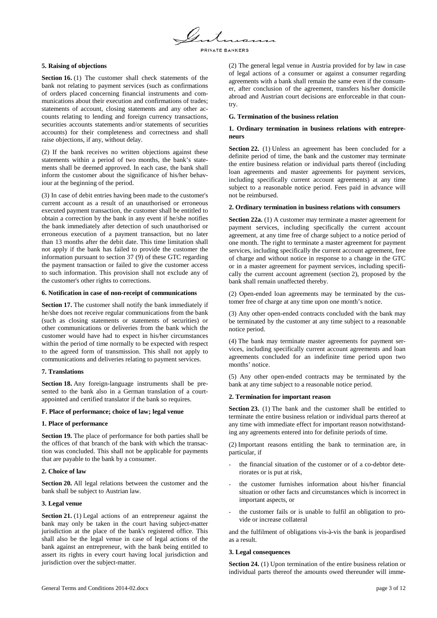

### **5. Raising of objections**

**Section 16.** (1) The customer shall check statements of the bank not relating to payment services (such as confirmations of orders placed concerning financial instruments and communications about their execution and confirmations of trades; statements of account, closing statements and any other accounts relating to lending and foreign currency transactions, securities accounts statements and/or statements of securities accounts) for their completeness and correctness and shall raise objections, if any, without delay.

(2) If the bank receives no written objections against these statements within a period of two months, the bank's statements shall be deemed approved. In each case, the bank shall inform the customer about the significance of his/her behaviour at the beginning of the period.

(3) In case of debit entries having been made to the customer's current account as a result of an unauthorised or erroneous executed payment transaction, the customer shall be entitled to obtain a correction by the bank in any event if he/she notifies the bank immediately after detection of such unauthorised or erroneous execution of a payment transaction, but no later than 13 months after the debit date. This time limitation shall not apply if the bank has failed to provide the customer the information pursuant to section 37 (9) of these GTC regarding the payment transaction or failed to give the customer access to such information. This provision shall not exclude any of the customer's other rights to corrections.

### **6. Notification in case of non-receipt of communications**

**Section 17.** The customer shall notify the bank immediately if he/she does not receive regular communications from the bank (such as closing statements or statements of securities) or other communications or deliveries from the bank which the customer would have had to expect in his/her circumstances within the period of time normally to be expected with respect to the agreed form of transmission. This shall not apply to communications and deliveries relating to payment services.

### **7. Translations**

**Section 18.** Any foreign-language instruments shall be presented to the bank also in a German translation of a courtappointed and certified translator if the bank so requires.

### **F. Place of performance; choice of law; legal venue**

### **1. Place of performance**

**Section 19.** The place of performance for both parties shall be the offices of that branch of the bank with which the transaction was concluded. This shall not be applicable for payments that are payable to the bank by a consumer.

### **2. Choice of law**

**Section 20.** All legal relations between the customer and the bank shall be subject to Austrian law.

### **3. Legal venue**

**Section 21.** (1) Legal actions of an entrepreneur against the bank may only be taken in the court having subject-matter jurisdiction at the place of the bank's registered office. This shall also be the legal venue in case of legal actions of the bank against an entrepreneur, with the bank being entitled to assert its rights in every court having local jurisdiction and jurisdiction over the subject-matter.

(2) The general legal venue in Austria provided for by law in case of legal actions of a consumer or against a consumer regarding agreements with a bank shall remain the same even if the consumer, after conclusion of the agreement, transfers his/her domicile abroad and Austrian court decisions are enforceable in that country.

### **G. Termination of the business relation**

### **1. Ordinary termination in business relations with entrepreneurs**

**Section 22.** (1) Unless an agreement has been concluded for a definite period of time, the bank and the customer may terminate the entire business relation or individual parts thereof (including loan agreements and master agreements for payment services, including specifically current account agreements) at any time subject to a reasonable notice period. Fees paid in advance will not be reimbursed.

#### **2. Ordinary termination in business relations with consumers**

**Section 22a.** (1) A customer may terminate a master agreement for payment services, including specifically the current account agreement, at any time free of charge subject to a notice period of one month. The right to terminate a master agreement for payment services, including specifically the current account agreement, free of charge and without notice in response to a change in the GTC or in a master agreement for payment services, including specifically the current account agreement (section 2), proposed by the bank shall remain unaffected thereby.

(2) Open-ended loan agreements may be terminated by the customer free of charge at any time upon one month's notice.

(3) Any other open-ended contracts concluded with the bank may be terminated by the customer at any time subject to a reasonable notice period.

(4) The bank may terminate master agreements for payment services, including specifically current account agreements and loan agreements concluded for an indefinite time period upon two months' notice.

(5) Any other open-ended contracts may be terminated by the bank at any time subject to a reasonable notice period.

### **2. Termination for important reason**

**Section 23.** (1) The bank and the customer shall be entitled to terminate the entire business relation or individual parts thereof at any time with immediate effect for important reason notwithstanding any agreements entered into for definite periods of time.

(2) Important reasons entitling the bank to termination are, in particular, if

- the financial situation of the customer or of a co-debtor deteriorates or is put at risk,
- the customer furnishes information about his/her financial situation or other facts and circumstances which is incorrect in important aspects, or
- the customer fails or is unable to fulfil an obligation to provide or increase collateral

and the fulfilment of obligations vis-à-vis the bank is jeopardised as a result.

#### **3. Legal consequences**

**Section 24.** (1) Upon termination of the entire business relation or individual parts thereof the amounts owed thereunder will imme-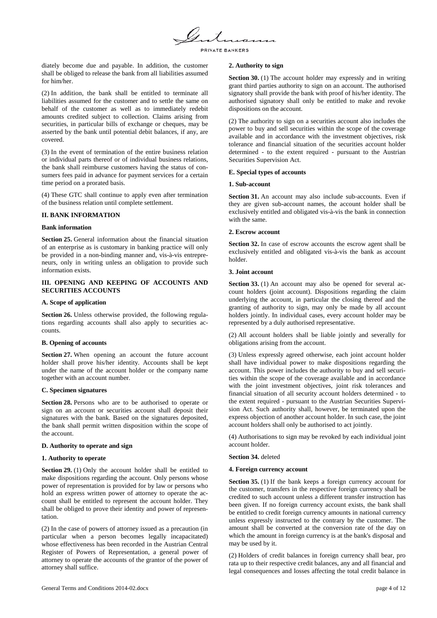

diately become due and payable. In addition, the customer shall be obliged to release the bank from all liabilities assumed for him/her.

(2) In addition, the bank shall be entitled to terminate all liabilities assumed for the customer and to settle the same on behalf of the customer as well as to immediately redebit amounts credited subject to collection. Claims arising from securities, in particular bills of exchange or cheques, may be asserted by the bank until potential debit balances, if any, are covered.

(3) In the event of termination of the entire business relation or individual parts thereof or of individual business relations, the bank shall reimburse customers having the status of consumers fees paid in advance for payment services for a certain time period on a prorated basis.

(4) These GTC shall continue to apply even after termination of the business relation until complete settlement.

### **II. BANK INFORMATION**

### **Bank information**

**Section 25.** General information about the financial situation of an enterprise as is customary in banking practice will only be provided in a non-binding manner and, vis-à-vis entrepreneurs, only in writing unless an obligation to provide such information exists.

### **III. OPENING AND KEEPING OF ACCOUNTS AND SECURITIES ACCOUNTS**

### **A. Scope of application**

**Section 26.** Unless otherwise provided, the following regulations regarding accounts shall also apply to securities accounts.

# **B. Opening of accounts**

**Section 27.** When opening an account the future account holder shall prove his/her identity. Accounts shall be kept under the name of the account holder or the company name together with an account number.

# **C. Specimen signatures**

**Section 28.** Persons who are to be authorised to operate or sign on an account or securities account shall deposit their signatures with the bank. Based on the signatures deposited, the bank shall permit written disposition within the scope of the account.

# **D. Authority to operate and sign**

# **1. Authority to operate**

**Section 29.** (1) Only the account holder shall be entitled to make dispositions regarding the account. Only persons whose power of representation is provided for by law or persons who hold an express written power of attorney to operate the account shall be entitled to represent the account holder. They shall be obliged to prove their identity and power of representation.

(2) In the case of powers of attorney issued as a precaution (in particular when a person becomes legally incapacitated) whose effectiveness has been recorded in the Austrian Central Register of Powers of Representation, a general power of attorney to operate the accounts of the grantor of the power of attorney shall suffice.

### **2. Authority to sign**

**Section 30.** (1) The account holder may expressly and in writing grant third parties authority to sign on an account. The authorised signatory shall provide the bank with proof of his/her identity. The authorised signatory shall only be entitled to make and revoke dispositions on the account.

(2) The authority to sign on a securities account also includes the power to buy and sell securities within the scope of the coverage available and in accordance with the investment objectives, risk tolerance and financial situation of the securities account holder determined - to the extent required - pursuant to the Austrian Securities Supervision Act.

### **E. Special types of accounts**

### **1. Sub-account**

**Section 31.** An account may also include sub-accounts. Even if they are given sub-account names, the account holder shall be exclusively entitled and obligated vis-à-vis the bank in connection with the same.

### **2. Escrow account**

**Section 32.** In case of escrow accounts the escrow agent shall be exclusively entitled and obligated vis-à-vis the bank as account holder.

## **3. Joint account**

**Section 33.** (1) An account may also be opened for several account holders (joint account). Dispositions regarding the claim underlying the account, in particular the closing thereof and the granting of authority to sign, may only be made by all account holders jointly. In individual cases, every account holder may be represented by a duly authorised representative.

(2) All account holders shall be liable jointly and severally for obligations arising from the account.

(3) Unless expressly agreed otherwise, each joint account holder shall have individual power to make dispositions regarding the account. This power includes the authority to buy and sell securities within the scope of the coverage available and in accordance with the joint investment objectives, joint risk tolerances and financial situation of all security account holders determined - to the extent required - pursuant to the Austrian Securities Supervision Act. Such authority shall, however, be terminated upon the express objection of another account holder. In such case, the joint account holders shall only be authorised to act jointly.

(4) Authorisations to sign may be revoked by each individual joint account holder.

### **Section 34.** deleted

### **4. Foreign currency account**

**Section 35.** (1) If the bank keeps a foreign currency account for the customer, transfers in the respective foreign currency shall be credited to such account unless a different transfer instruction has been given. If no foreign currency account exists, the bank shall be entitled to credit foreign currency amounts in national currency unless expressly instructed to the contrary by the customer. The amount shall be converted at the conversion rate of the day on which the amount in foreign currency is at the bank's disposal and may be used by it.

(2) Holders of credit balances in foreign currency shall bear, pro rata up to their respective credit balances, any and all financial and legal consequences and losses affecting the total credit balance in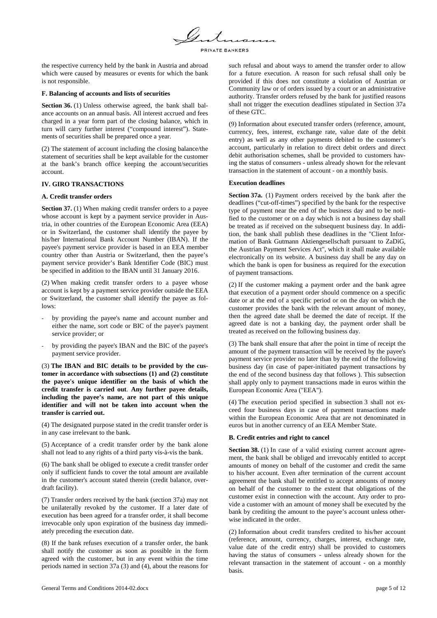

the respective currency held by the bank in Austria and abroad which were caused by measures or events for which the bank is not responsible.

### **F. Balancing of accounts and lists of securities**

**Section 36.** (1) Unless otherwise agreed, the bank shall balance accounts on an annual basis. All interest accrued and fees charged in a year form part of the closing balance, which in turn will carry further interest ("compound interest"). Statements of securities shall be prepared once a year.

(2) The statement of account including the closing balance/the statement of securities shall be kept available for the customer at the bank's branch office keeping the account/securities account.

# **IV. GIRO TRANSACTIONS**

### **A. Credit transfer orders**

**Section 37.** (1) When making credit transfer orders to a payee whose account is kept by a payment service provider in Austria, in other countries of the European Economic Area (EEA) or in Switzerland, the customer shall identify the payee by his/her International Bank Account Number (IBAN). If the payee's payment service provider is based in an EEA member country other than Austria or Switzerland, then the payee's payment service provider's Bank Identifier Code (BIC) must be specified in addition to the IBAN until 31 January 2016.

(2) When making credit transfer orders to a payee whose account is kept by a payment service provider outside the EEA or Switzerland, the customer shall identify the payee as follows:

- by providing the payee's name and account number and either the name, sort code or BIC of the payee's payment service provider; or
- by providing the payee's IBAN and the BIC of the payee's payment service provider.

(3) **The IBAN and BIC details to be provided by the customer in accordance with subsections (1) and (2) constitute the payee's unique identifier on the basis of which the credit transfer is carried out**. **Any further payee details, including the payee's name, are not part of this unique identifier and will not be taken into account when the transfer is carried out.**

(4) The designated purpose stated in the credit transfer order is in any case irrelevant to the bank.

(5) Acceptance of a credit transfer order by the bank alone shall not lead to any rights of a third party vis-à-vis the bank.

(6) The bank shall be obliged to execute a credit transfer order only if sufficient funds to cover the total amount are available in the customer's account stated therein (credit balance, overdraft facility).

(7) Transfer orders received by the bank (section 37a) may not be unilaterally revoked by the customer. If a later date of execution has been agreed for a transfer order, it shall become irrevocable only upon expiration of the business day immediately preceding the execution date.

(8) If the bank refuses execution of a transfer order, the bank shall notify the customer as soon as possible in the form agreed with the customer, but in any event within the time periods named in section 37a (3) and (4), about the reasons for such refusal and about ways to amend the transfer order to allow for a future execution. A reason for such refusal shall only be provided if this does not constitute a violation of Austrian or Community law or of orders issued by a court or an administrative authority. Transfer orders refused by the bank for justified reasons shall not trigger the execution deadlines stipulated in Section 37a of these GTC.

(9) Information about executed transfer orders (reference, amount, currency, fees, interest, exchange rate, value date of the debit entry) as well as any other payments debited to the customer's account, particularly in relation to direct debit orders and direct debit authorisation schemes, shall be provided to customers having the status of consumers - unless already shown for the relevant transaction in the statement of account - on a monthly basis.

### **Execution deadlines**

**Section 37a.** (1) Payment orders received by the bank after the deadlines ("cut-off-times") specified by the bank for the respective type of payment near the end of the business day and to be notified to the customer or on a day which is not a business day shall be treated as if received on the subsequent business day. In addition, the bank shall publish these deadlines in the "Client Information of Bank Gutmann Aktiengesellschaft pursuant to ZaDiG, the Austrian Payment Services Act", which it shall make available electronically on its website. A business day shall be any day on which the bank is open for business as required for the execution of payment transactions.

(2) If the customer making a payment order and the bank agree that execution of a payment order should commence on a specific date or at the end of a specific period or on the day on which the customer provides the bank with the relevant amount of money, then the agreed date shall be deemed the date of receipt. If the agreed date is not a banking day, the payment order shall be treated as received on the following business day.

(3) The bank shall ensure that after the point in time of receipt the amount of the payment transaction will be received by the payee's payment service provider no later than by the end of the following business day (in case of paper-initiated payment transactions by the end of the second business day that follows ). This subsection shall apply only to payment transactions made in euros within the European Economic Area ("EEA").

(4) The execution period specified in subsection 3 shall not exceed four business days in case of payment transactions made within the European Economic Area that are not denominated in euros but in another currency of an EEA Member State.

# **B. Credit entries and right to cancel**

**Section 38.** (1) In case of a valid existing current account agreement, the bank shall be obliged and irrevocably entitled to accept amounts of money on behalf of the customer and credit the same to his/her account. Even after termination of the current account agreement the bank shall be entitled to accept amounts of money on behalf of the customer to the extent that obligations of the customer exist in connection with the account. Any order to provide a customer with an amount of money shall be executed by the bank by crediting the amount to the payee's account unless otherwise indicated in the order.

(2) Information about credit transfers credited to his/her account (reference, amount, currency, charges, interest, exchange rate, value date of the credit entry) shall be provided to customers having the status of consumers - unless already shown for the relevant transaction in the statement of account - on a monthly basis.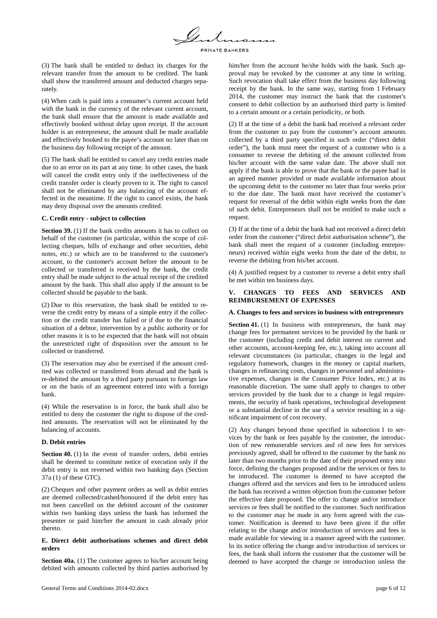

(3) The bank shall be entitled to deduct its charges for the relevant transfer from the amount to be credited. The bank shall show the transferred amount and deducted charges separately.

(4) When cash is paid into a consumer's current account held with the bank in the currency of the relevant current account, the bank shall ensure that the amount is made available and effectively booked without delay upon receipt. If the account holder is an entrepreneur, the amount shall be made available and effectively booked to the payee's account no later than on the business day following receipt of the amount.

(5) The bank shall be entitled to cancel any credit entries made due to an error on its part at any time. In other cases, the bank will cancel the credit entry only if the ineffectiveness of the credit transfer order is clearly proven to it. The right to cancel shall not be eliminated by any balancing of the account effected in the meantime. If the right to cancel exists, the bank may deny disposal over the amounts credited.

### **C. Credit entry - subject to collection**

**Section 39.** (1) If the bank credits amounts it has to collect on behalf of the customer (in particular, within the scope of collecting cheques, bills of exchange and other securities, debit notes, etc.) or which are to be transferred to the customer's account, to the customer's account before the amount to be collected or transferred is received by the bank, the credit entry shall be made subject to the actual receipt of the credited amount by the bank. This shall also apply if the amount to be collected should be payable to the bank.

(2) Due to this reservation, the bank shall be entitled to reverse the credit entry by means of a simple entry if the collection or the credit transfer has failed or if due to the financial situation of a debtor, intervention by a public authority or for other reasons it is to be expected that the bank will not obtain the unrestricted right of disposition over the amount to be collected or transferred.

(3) The reservation may also be exercised if the amount credited was collected or transferred from abroad and the bank is re-debited the amount by a third party pursuant to foreign law or on the basis of an agreement entered into with a foreign bank.

(4) While the reservation is in force, the bank shall also be entitled to deny the customer the right to dispose of the credited amounts. The reservation will not be eliminated by the balancing of accounts.

### **D. Debit entries**

**Section 40.** (1) In the event of transfer orders, debit entries shall be deemed to constitute notice of execution only if the debit entry is not reversed within two banking days (Section 37a (1) of these GTC).

(2) Cheques and other payment orders as well as debit entries are deemed collected/cashed/honoured if the debit entry has not been cancelled on the debited account of the customer within two banking days unless the bank has informed the presenter or paid him/her the amount in cash already prior thereto.

### **E. Direct debit authorisations schemes and direct debit orders**

**Section 40a.** (1) The customer agrees to his/her account being debited with amounts collected by third parties authorised by him/her from the account he/she holds with the bank. Such approval may be revoked by the customer at any time in writing. Such revocation shall take effect from the business day following receipt by the bank. In the same way, starting from 1 February 2014, the customer may instruct the bank that the customer's consent to debit collection by an authorised third party is limited to a certain amount or a certain periodicity, or both.

(2) If at the time of a debit the bank had received a relevant order from the customer to pay from the customer's account amounts collected by a third party specified in such order ("direct debit order"), the bank must meet the request of a customer who is a consumer to reverse the debiting of the amount collected from his/her account with the same value date. The above shall not apply if the bank is able to prove that the bank or the payee had in an agreed manner provided or made available information about the upcoming debit to the customer no later than four weeks prior to the due date. The bank must have received the customer's request for reversal of the debit within eight weeks from the date of such debit. Entrepreneurs shall not be entitled to make such a request.

(3) If at the time of a debit the bank had not received a direct debit order from the customer ("direct debit authorisation scheme"), the bank shall meet the request of a customer (including entrepreneurs) received within eight weeks from the date of the debit, to reverse the debiting from his/her account.

(4) A justified request by a customer to reverse a debit entry shall be met within ten business days.

# **V. CHANGES TO FEES AND SERVICES AND REIMBURSEMENT OF EXPENSES**

#### **A. Changes to fees and services in business with entrepreneurs**

**Section 41.** (1) In business with entrepreneurs, the bank may change fees for permanent services to be provided by the bank or the customer (including credit and debit interest on current and other accounts, account-keeping fee, etc.), taking into account all relevant circumstances (in particular, changes in the legal and regulatory framework, changes in the money or capital markets, changes in refinancing costs, changes in personnel and administrative expenses, changes in the Consumer Price Index, etc.) at its reasonable discretion. The same shall apply to changes to other services provided by the bank due to a change in legal requirements, the security of bank operations, technological development or a substantial decline in the use of a service resulting in a significant impairment of cost recovery.

(2) Any changes beyond those specified in subsection 1 to services by the bank or fees payable by the customer, the introduction of new remunerable services and of new fees for services previously agreed, shall be offered to the customer by the bank no later than two months prior to the date of their proposed entry into force, defining the changes proposed and/or the services or fees to be introduced. The customer is deemed to have accepted the changes offered and the services and fees to be introduced unless the bank has received a written objection from the customer before the effective date proposed. The offer to change and/or introduce services or fees shall be notified to the customer. Such notification to the customer may be made in any form agreed with the customer. Notification is deemed to have been given if the offer relating to the change and/or introduction of services and fees is made available for viewing in a manner agreed with the customer. In its notice offering the change and/or introduction of services or fees, the bank shall inform the customer that the customer will be deemed to have accepted the change or introduction unless the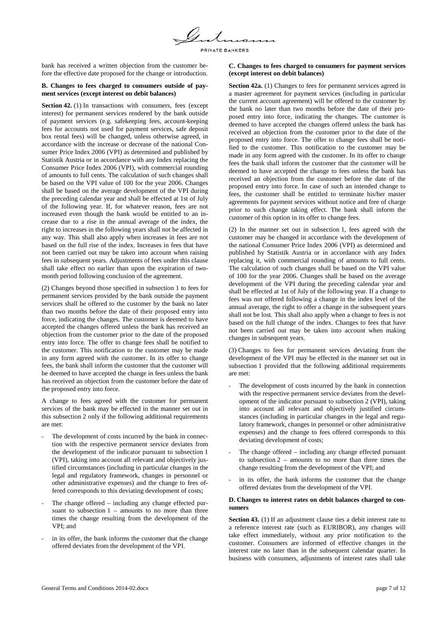

bank has received a written objection from the customer before the effective date proposed for the change or introduction.

### **B. Changes to fees charged to consumers outside of payment services (except interest on debit balances)**

**Section 42.** (1) In transactions with consumers, fees (except interest) for permanent services rendered by the bank outside of payment services (e.g. safekeeping fees, account-keeping fees for accounts not used for payment services, safe deposit box rental fees) will be changed, unless otherwise agreed, in accordance with the increase or decrease of the national Consumer Price Index 2006 (VPI) as determined and published by Statistik Austria or in accordance with any Index replacing the Consumer Price Index 2006 (VPI), with commercial rounding of amounts to full cents. The calculation of such changes shall be based on the VPI value of 100 for the year 2006. Changes shall be based on the average development of the VPI during the preceding calendar year and shall be effected at 1st of July of the following year. If, for whatever reason, fees are not increased even though the bank would be entitled to an increase due to a rise in the annual average of the index, the right to increases in the following years shall not be affected in any way. This shall also apply when increases in fees are not based on the full rise of the index. Increases in fees that have not been carried out may be taken into account when raising fees in subsequent years. Adjustments of fees under this clause shall take effect no earlier than upon the expiration of twomonth period following conclusion of the agreement.

(2) Changes beyond those specified in subsection 1 to fees for permanent services provided by the bank outside the payment services shall be offered to the customer by the bank no later than two months before the date of their proposed entry into force, indicating the changes. The customer is deemed to have accepted the changes offered unless the bank has received an objection from the customer prior to the date of the proposed entry into force. The offer to change fees shall be notified to the customer. This notification to the customer may be made in any form agreed with the customer. In its offer to change fees, the bank shall inform the customer that the customer will be deemed to have accepted the change in fees unless the bank has received an objection from the customer before the date of the proposed entry into force.

A change to fees agreed with the customer for permanent services of the bank may be effected in the manner set out in this subsection 2 only if the following additional requirements are met:

- The development of costs incurred by the bank in connection with the respective permanent service deviates from the development of the indicator pursuant to subsection 1 (VPI), taking into account all relevant and objectively justified circumstances (including in particular changes in the legal and regulatory framework, changes in personnel or other administrative expenses) and the change to fees offered corresponds to this deviating development of costs;
- The change offered including any change effected pursuant to subsection  $1 -$  amounts to no more than three times the change resulting from the development of the VPI; and
- in its offer, the bank informs the customer that the change offered deviates from the development of the VPI.

### **C. Changes to fees charged to consumers for payment services (except interest on debit balances)**

**Section 42a.** (1) Changes to fees for permanent services agreed in a master agreement for payment services (including in particular the current account agreement) will be offered to the customer by the bank no later than two months before the date of their proposed entry into force, indicating the changes. The customer is deemed to have accepted the changes offered unless the bank has received an objection from the customer prior to the date of the proposed entry into force. The offer to change fees shall be notified to the customer. This notification to the customer may be made in any form agreed with the customer. In its offer to change fees the bank shall inform the customer that the customer will be deemed to have accepted the change to fees unless the bank has received an objection from the customer before the date of the proposed entry into force. In case of such an intended change to fees, the customer shall be entitled to terminate his/her master agreements for payment services without notice and free of charge prior to such change taking effect. The bank shall inform the customer of this option in its offer to change fees.

(2) In the manner set out in subsection 1, fees agreed with the customer may be changed in accordance with the development of the national Consumer Price Index 2006 (VPI) as determined and published by Statistik Austria or in accordance with any Index replacing it, with commercial rounding of amounts to full cents. The calculation of such changes shall be based on the VPI value of 100 for the year 2006. Changes shall be based on the average development of the VPI during the preceding calendar year and shall be effected at 1st of July of the following year. If a change to fees was not offered following a change in the index level of the annual average, the right to offer a change in the subsequent years shall not be lost. This shall also apply when a change to fees is not based on the full change of the index. Changes to fees that have not been carried out may be taken into account when making changes in subsequent years.

(3) Changes to fees for permanent services deviating from the development of the VPI may be effected in the manner set out in subsection 1 provided that the following additional requirements are met:

- The development of costs incurred by the bank in connection with the respective permanent service deviates from the development of the indicator pursuant to subsection 2 (VPI), taking into account all relevant and objectively justified circumstances (including in particular changes in the legal and regulatory framework, changes in personnel or other administrative expenses) and the change to fees offered corresponds to this deviating development of costs;
- The change offered including any change effected pursuant to subsection 2 – amounts to no more than three times the change resulting from the development of the VPI; and
- in its offer, the bank informs the customer that the change offered deviates from the development of the VPI.

### **D. Changes to interest rates on debit balances charged to consumers**

**Section 43.** (1) If an adjustment clause ties a debit interest rate to a reference interest rate (such as EURIBOR), any changes will take effect immediately, without any prior notification to the customer. Consumers are informed of effective changes in the interest rate no later than in the subsequent calendar quarter. In business with consumers, adjustments of interest rates shall take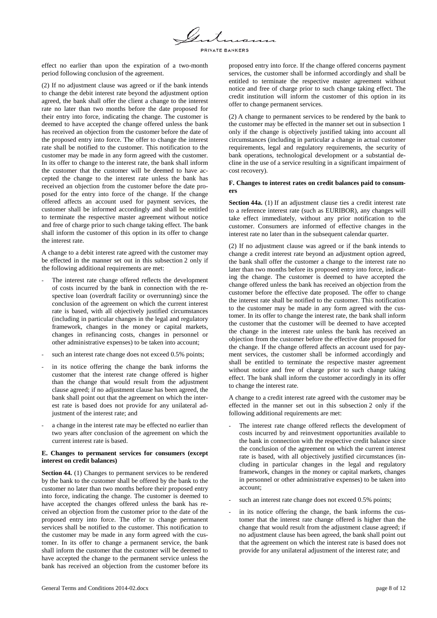PRIVATE BANKERS

effect no earlier than upon the expiration of a two-month period following conclusion of the agreement.

(2) If no adjustment clause was agreed or if the bank intends to change the debit interest rate beyond the adjustment option agreed, the bank shall offer the client a change to the interest rate no later than two months before the date proposed for their entry into force, indicating the change. The customer is deemed to have accepted the change offered unless the bank has received an objection from the customer before the date of the proposed entry into force. The offer to change the interest rate shall be notified to the customer. This notification to the customer may be made in any form agreed with the customer. In its offer to change to the interest rate, the bank shall inform the customer that the customer will be deemed to have accepted the change to the interest rate unless the bank has received an objection from the customer before the date proposed for the entry into force of the change. If the change offered affects an account used for payment services, the customer shall be informed accordingly and shall be entitled to terminate the respective master agreement without notice and free of charge prior to such change taking effect. The bank shall inform the customer of this option in its offer to change the interest rate.

A change to a debit interest rate agreed with the customer may be effected in the manner set out in this subsection 2 only if the following additional requirements are met:

- The interest rate change offered reflects the development of costs incurred by the bank in connection with the respective loan (overdraft facility or overrunning) since the conclusion of the agreement on which the current interest rate is based, with all objectively justified circumstances (including in particular changes in the legal and regulatory framework, changes in the money or capital markets, changes in refinancing costs, changes in personnel or other administrative expenses) to be taken into account;
- such an interest rate change does not exceed 0.5% points;
- in its notice offering the change the bank informs the customer that the interest rate change offered is higher than the change that would result from the adjustment clause agreed; if no adjustment clause has been agreed, the bank shall point out that the agreement on which the interest rate is based does not provide for any unilateral adjustment of the interest rate; and
- a change in the interest rate may be effected no earlier than two years after conclusion of the agreement on which the current interest rate is based.

### **E. Changes to permanent services for consumers (except interest on credit balances)**

**Section 44.** (1) Changes to permanent services to be rendered by the bank to the customer shall be offered by the bank to the customer no later than two months before their proposed entry into force, indicating the change. The customer is deemed to have accepted the changes offered unless the bank has received an objection from the customer prior to the date of the proposed entry into force. The offer to change permanent services shall be notified to the customer. This notification to the customer may be made in any form agreed with the customer. In its offer to change a permanent service, the bank shall inform the customer that the customer will be deemed to have accepted the change to the permanent service unless the bank has received an objection from the customer before its proposed entry into force. If the change offered concerns payment services, the customer shall be informed accordingly and shall be entitled to terminate the respective master agreement without notice and free of charge prior to such change taking effect. The credit institution will inform the customer of this option in its offer to change permanent services.

(2) A change to permanent services to be rendered by the bank to the customer may be effected in the manner set out in subsection 1 only if the change is objectively justified taking into account all circumstances (including in particular a change in actual customer requirements, legal and regulatory requirements, the security of bank operations, technological development or a substantial decline in the use of a service resulting in a significant impairment of cost recovery).

### **F. Changes to interest rates on credit balances paid to consumers**

**Section 44a.** (1) If an adjustment clause ties a credit interest rate to a reference interest rate (such as EURIBOR), any changes will take effect immediately, without any prior notification to the customer. Consumers are informed of effective changes in the interest rate no later than in the subsequent calendar quarter.

(2) If no adjustment clause was agreed or if the bank intends to change a credit interest rate beyond an adjustment option agreed, the bank shall offer the customer a change to the interest rate no later than two months before its proposed entry into force, indicating the change. The customer is deemed to have accepted the change offered unless the bank has received an objection from the customer before the effective date proposed. The offer to change the interest rate shall be notified to the customer. This notification to the customer may be made in any form agreed with the customer. In its offer to change the interest rate, the bank shall inform the customer that the customer will be deemed to have accepted the change in the interest rate unless the bank has received an objection from the customer before the effective date proposed for the change. If the change offered affects an account used for payment services, the customer shall be informed accordingly and shall be entitled to terminate the respective master agreement without notice and free of charge prior to such change taking effect. The bank shall inform the customer accordingly in its offer to change the interest rate.

A change to a credit interest rate agreed with the customer may be effected in the manner set out in this subsection 2 only if the following additional requirements are met:

- The interest rate change offered reflects the development of costs incurred by and reinvestment opportunities available to the bank in connection with the respective credit balance since the conclusion of the agreement on which the current interest rate is based, with all objectively justified circumstances (including in particular changes in the legal and regulatory framework, changes in the money or capital markets, changes in personnel or other administrative expenses) to be taken into account;
- such an interest rate change does not exceed 0.5% points;
- in its notice offering the change, the bank informs the customer that the interest rate change offered is higher than the change that would result from the adjustment clause agreed; if no adjustment clause has been agreed, the bank shall point out that the agreement on which the interest rate is based does not provide for any unilateral adjustment of the interest rate; and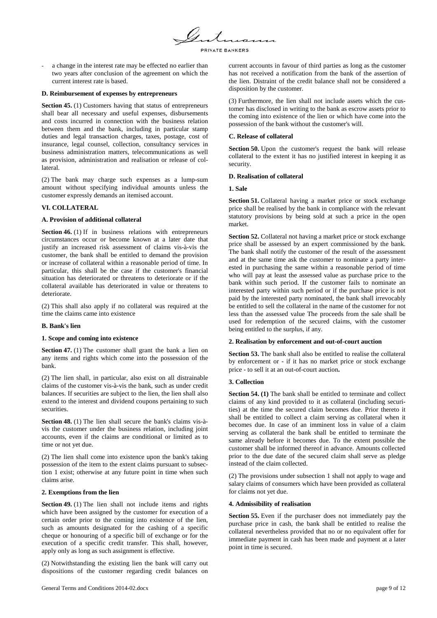

a change in the interest rate may be effected no earlier than two years after conclusion of the agreement on which the current interest rate is based.

### **D. Reimbursement of expenses by entrepreneurs**

**Section 45.** (1) Customers having that status of entrepreneurs shall bear all necessary and useful expenses, disbursements and costs incurred in connection with the business relation between them and the bank, including in particular stamp duties and legal transaction charges, taxes, postage, cost of insurance, legal counsel, collection, consultancy services in business administration matters, telecommunications as well as provision, administration and realisation or release of collateral.

(2) The bank may charge such expenses as a lump-sum amount without specifying individual amounts unless the customer expressly demands an itemised account.

# **VI. COLLATERAL**

### **A. Provision of additional collateral**

**Section 46.** (1) If in business relations with entrepreneurs circumstances occur or become known at a later date that justify an increased risk assessment of claims vis-à-vis the customer, the bank shall be entitled to demand the provision or increase of collateral within a reasonable period of time. In particular, this shall be the case if the customer's financial situation has deteriorated or threatens to deteriorate or if the collateral available has deteriorated in value or threatens to deteriorate.

(2) This shall also apply if no collateral was required at the time the claims came into existence

### **B. Bank's lien**

### **1. Scope and coming into existence**

**Section 47.** (1) The customer shall grant the bank a lien on any items and rights which come into the possession of the bank.

(2) The lien shall, in particular, also exist on all distrainable claims of the customer vis-à-vis the bank, such as under credit balances. If securities are subject to the lien, the lien shall also extend to the interest and dividend coupons pertaining to such securities.

**Section 48.** (1) The lien shall secure the bank's claims vis-àvis the customer under the business relation, including joint accounts, even if the claims are conditional or limited as to time or not yet due.

(2) The lien shall come into existence upon the bank's taking possession of the item to the extent claims pursuant to subsection 1 exist; otherwise at any future point in time when such claims arise.

### **2. Exemptions from the lien**

**Section 49.** (1) The lien shall not include items and rights which have been assigned by the customer for execution of a certain order prior to the coming into existence of the lien, such as amounts designated for the cashing of a specific cheque or honouring of a specific bill of exchange or for the execution of a specific credit transfer. This shall, however, apply only as long as such assignment is effective.

(2) Notwithstanding the existing lien the bank will carry out dispositions of the customer regarding credit balances on current accounts in favour of third parties as long as the customer has not received a notification from the bank of the assertion of the lien. Distraint of the credit balance shall not be considered a disposition by the customer.

(3) Furthermore, the lien shall not include assets which the customer has disclosed in writing to the bank as escrow assets prior to the coming into existence of the lien or which have come into the possession of the bank without the customer's will.

### **C. Release of collateral**

**Section 50.** Upon the customer's request the bank will release collateral to the extent it has no justified interest in keeping it as security.

### **D. Realisation of collateral**

### **1. Sale**

**Section 51.** Collateral having a market price or stock exchange price shall be realised by the bank in compliance with the relevant statutory provisions by being sold at such a price in the open market.

**Section 52.** Collateral not having a market price or stock exchange price shall be assessed by an expert commissioned by the bank. The bank shall notify the customer of the result of the assessment and at the same time ask the customer to nominate a party interested in purchasing the same within a reasonable period of time who will pay at least the assessed value as purchase price to the bank within such period. If the customer fails to nominate an interested party within such period or if the purchase price is not paid by the interested party nominated, the bank shall irrevocably be entitled to sell the collateral in the name of the customer for not less than the assessed value The proceeds from the sale shall be used for redemption of the secured claims, with the customer being entitled to the surplus, if any.

# **2. Realisation by enforcement and out-of-court auction**

**Section 53.** The bank shall also be entitled to realise the collateral by enforcement or - if it has no market price or stock exchange price - to sell it at an out-of-court auction**.**

# **3. Collection**

**Section 54. (1)** The bank shall be entitled to terminate and collect claims of any kind provided to it as collateral (including securities) at the time the secured claim becomes due. Prior thereto it shall be entitled to collect a claim serving as collateral when it becomes due. In case of an imminent loss in value of a claim serving as collateral the bank shall be entitled to terminate the same already before it becomes due. To the extent possible the customer shall be informed thereof in advance. Amounts collected prior to the due date of the secured claim shall serve as pledge instead of the claim collected.

(2) The provisions under subsection 1 shall not apply to wage and salary claims of consumers which have been provided as collateral for claims not yet due.

### **4. Admissibility of realisation**

**Section 55.** Even if the purchaser does not immediately pay the purchase price in cash, the bank shall be entitled to realise the collateral nevertheless provided that no or no equivalent offer for immediate payment in cash has been made and payment at a later point in time is secured.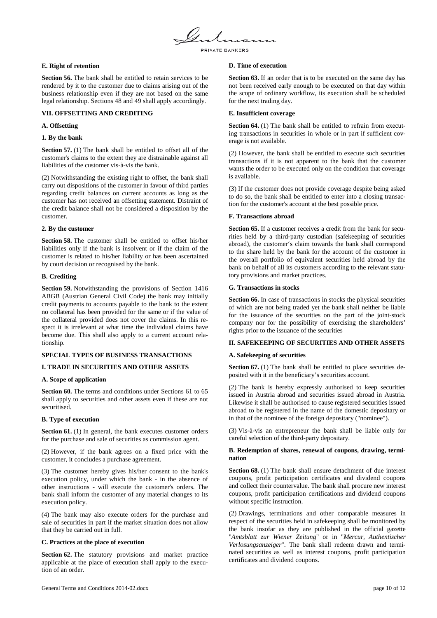

### **E. Right of retention**

**Section 56.** The bank shall be entitled to retain services to be rendered by it to the customer due to claims arising out of the business relationship even if they are not based on the same legal relationship. Sections 48 and 49 shall apply accordingly.

# **VII. OFFSETTING AND CREDITING**

### **A. Offsetting**

### **1. By the bank**

**Section 57.** (1) The bank shall be entitled to offset all of the customer's claims to the extent they are distrainable against all liabilities of the customer vis-à-vis the bank.

(2) Notwithstanding the existing right to offset, the bank shall carry out dispositions of the customer in favour of third parties regarding credit balances on current accounts as long as the customer has not received an offsetting statement. Distraint of the credit balance shall not be considered a disposition by the customer.

### **2. By the customer**

**Section 58.** The customer shall be entitled to offset his/her liabilities only if the bank is insolvent or if the claim of the customer is related to his/her liability or has been ascertained by court decision or recognised by the bank.

## **B. Crediting**

**Section 59.** Notwithstanding the provisions of Section 1416 ABGB (Austrian General Civil Code) the bank may initially credit payments to accounts payable to the bank to the extent no collateral has been provided for the same or if the value of the collateral provided does not cover the claims. In this respect it is irrelevant at what time the individual claims have become due. This shall also apply to a current account relationship.

### **SPECIAL TYPES OF BUSINESS TRANSACTIONS**

# **I. TRADE IN SECURITIES AND OTHER ASSETS**

### **A. Scope of application**

**Section 60.** The terms and conditions under Sections 61 to 65 shall apply to securities and other assets even if these are not securitised.

### **B. Type of execution**

**Section 61.** (1) In general, the bank executes customer orders for the purchase and sale of securities as commission agent.

(2) However, if the bank agrees on a fixed price with the customer, it concludes a purchase agreement.

(3) The customer hereby gives his/her consent to the bank's execution policy, under which the bank - in the absence of other instructions - will execute the customer's orders. The bank shall inform the customer of any material changes to its execution policy.

(4) The bank may also execute orders for the purchase and sale of securities in part if the market situation does not allow that they be carried out in full.

### **C. Practices at the place of execution**

**Section 62.** The statutory provisions and market practice applicable at the place of execution shall apply to the execution of an order.

### **D. Time of execution**

**Section 63.** If an order that is to be executed on the same day has not been received early enough to be executed on that day within the scope of ordinary workflow, its execution shall be scheduled for the next trading day.

### **E. Insufficient coverage**

**Section 64.** (1) The bank shall be entitled to refrain from executing transactions in securities in whole or in part if sufficient coverage is not available.

(2) However, the bank shall be entitled to execute such securities transactions if it is not apparent to the bank that the customer wants the order to be executed only on the condition that coverage is available.

(3) If the customer does not provide coverage despite being asked to do so, the bank shall be entitled to enter into a closing transaction for the customer's account at the best possible price.

### **F. Transactions abroad**

**Section 65.** If a customer receives a credit from the bank for securities held by a third-party custodian (safekeeping of securities abroad), the customer's claim towards the bank shall correspond to the share held by the bank for the account of the customer in the overall portfolio of equivalent securities held abroad by the bank on behalf of all its customers according to the relevant statutory provisions and market practices.

### **G. Transactions in stocks**

**Section 66.** In case of transactions in stocks the physical securities of which are not being traded yet the bank shall neither be liable for the issuance of the securities on the part of the joint-stock company nor for the possibility of exercising the shareholders' rights prior to the issuance of the securities

# **II. SAFEKEEPING OF SECURITIES AND OTHER ASSETS**

### **A. Safekeeping of securities**

**Section 67.** (1) The bank shall be entitled to place securities deposited with it in the beneficiary's securities account.

(2) The bank is hereby expressly authorised to keep securities issued in Austria abroad and securities issued abroad in Austria. Likewise it shall be authorised to cause registered securities issued abroad to be registered in the name of the domestic depositary or in that of the nominee of the foreign depositary ("nominee").

(3) Vis-à-vis an entrepreneur the bank shall be liable only for careful selection of the third-party depositary.

### **B. Redemption of shares, renewal of coupons, drawing, termination**

**Section 68.** (1) The bank shall ensure detachment of due interest coupons, profit participation certificates and dividend coupons and collect their countervalue. The bank shall procure new interest coupons, profit participation certifications and dividend coupons without specific instruction.

(2) Drawings, terminations and other comparable measures in respect of the securities held in safekeeping shall be monitored by the bank insofar as they are published in the official gazette "*Amtsblatt zur Wiener Zeitung*" or in "*Mercur, Authentischer Verlosungsanzeiger*". The bank shall redeem drawn and terminated securities as well as interest coupons, profit participation certificates and dividend coupons.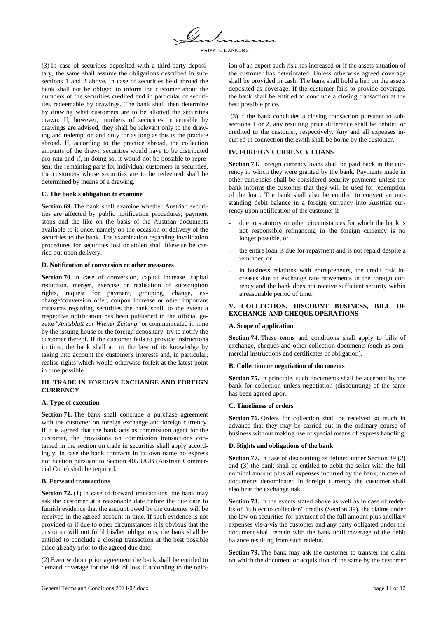

(3) In case of securities deposited with a third-party depositary, the same shall assume the obligations described in subsections 1 and 2 above. In case of securities held abroad the bank shall not be obliged to inform the customer about the numbers of the securities credited and in particular of securities redeemable by drawings. The bank shall then determine by drawing what customers are to be allotted the securities drawn. If, however, numbers of securities redeemable by drawings are advised, they shall be relevant only to the drawing and redemption and only for as long as this is the practice abroad. If, according to the practice abroad, the collection amounts of the drawn securities would have to be distributed pro-rata and if, in doing so, it would not be possible to represent the remaining parts for individual customers in securities, the customers whose securities are to be redeemed shall be determined by means of a drawing.

### **C. The bank's obligation to examine**

**Section 69.** The bank shall examine whether Austrian securities are affected by public notification procedures, payment stops and the like on the basis of the Austrian documents available to it once, namely on the occasion of delivery of the securities to the bank. The examination regarding invalidation procedures for securities lost or stolen shall likewise be carried out upon delivery.

#### **D. Notification of conversion or other measures**

**Section 70.** In case of conversion, capital increase, capital reduction, merger, exercise or realisation of subscription rights, request for payment, grouping, change, exchange/conversion offer, coupon increase or other important measures regarding securities the bank shall, to the extent a respective notification has been published in the official gazette "*Amtsblatt zur Wiener Zeitung*" or communicated in time by the issuing house or the foreign depositary, try to notify the customer thereof. If the customer fails to provide instructions in time, the bank shall act to the best of its knowledge by taking into account the customer's interests and, in particular, realise rights which would otherwise forfeit at the latest point in time possible.

### **III. TRADE IN FOREIGN EXCHANGE AND FOREIGN CURRENCY**

#### **A. Type of execution**

**Section 71.** The bank shall conclude a purchase agreement with the customer on foreign exchange and foreign currency. If it is agreed that the bank acts as commission agent for the customer, the provisions on commission transactions contained in the section on trade in securities shall apply accordingly. In case the bank contracts in its own name no express notification pursuant to Section 405 UGB (Austrian Commercial Code) shall be required.

## **B. Forward transactions**

**Section 72.** (1) In case of forward transactions, the bank may ask the customer at a reasonable date before the due date to furnish evidence that the amount owed by the customer will be received in the agreed account in time. If such evidence is not provided or if due to other circumstances it is obvious that the customer will not fulfil his/her obligations, the bank shall be entitled to conclude a closing transaction at the best possible price already prior to the agreed due date.

(2) Even without prior agreement the bank shall be entitled to demand coverage for the risk of loss if according to the opinion of an expert such risk has increased or if the assets situation of the customer has deteriorated. Unless otherwise agreed coverage shall be provided in cash. The bank shall hold a lien on the assets deposited as coverage. If the customer fails to provide coverage, the bank shall be entitled to conclude a closing transaction at the best possible price.

(3) If the bank concludes a closing transaction pursuant to subsections 1 or 2, any resulting price difference shall be debited or credited to the customer, respectively. Any and all expenses incurred in connection therewith shall be borne by the customer.

### **IV. FOREIGN CURRENCY LOANS**

**Section 73.** Foreign currency loans shall be paid back in the currency in which they were granted by the bank. Payments made in other currencies shall be considered security payments unless the bank informs the customer that they will be used for redemption of the loan. The bank shall also be entitled to convert an outstanding debit balance in a foreign currency into Austrian currency upon notification of the customer if

- due to statutory or other circumstances for which the bank is not responsible refinancing in the foreign currency is no longer possible, or
- the entire loan is due for repayment and is not repaid despite a reminder, or
- in business relations with entrepreneurs, the credit risk increases due to exchange rate movements in the foreign currency and the bank does not receive sufficient security within a reasonable period of time.

# **V. COLLECTION, DISCOUNT BUSINESS, BILL OF EXCHANGE AND CHEQUE OPERATIONS**

### **A. Scope of application**

**Section 74.** These terms and conditions shall apply to bills of exchange, cheques and other collection documents (such as commercial instructions and certificates of obligation).

#### **B. Collection or negotiation of documents**

**Section 75.** In principle, such documents shall be accepted by the bank for collection unless negotiation (discounting) of the same has been agreed upon.

## **C. Timeliness of orders**

**Section 76.** Orders for collection shall be received so much in advance that they may be carried out in the ordinary course of business without making use of special means of express handling.

### **D. Rights and obligations of the bank**

**Section 77.** In case of discounting as defined under Section 39 (2) and (3) the bank shall be entitled to debit the seller with the full nominal amount plus all expenses incurred by the bank; in case of documents denominated in foreign currency the customer shall also bear the exchange risk.

**Section 78.** In the events stated above as well as in case of redebits of "subject to collection" credits (Section 39), the claims under the law on securities for payment of the full amount plus ancillary expenses vis-à-vis the customer and any party obligated under the document shall remain with the bank until coverage of the debit balance resulting from such redebit.

**Section 79.** The bank may ask the customer to transfer the claim on which the document or acquisition of the same by the customer